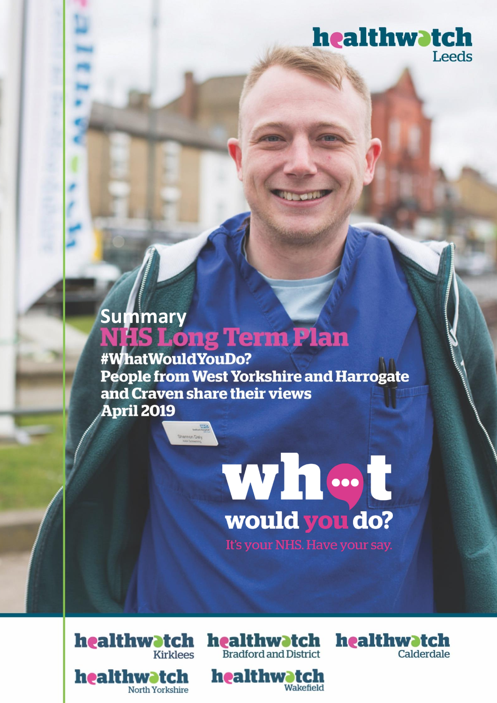# healthwatch Leeds

# Summary<br>**NHS Long Term Plan**

viech Channer

#WhatWouldYouDo? **People from West Yorkshire and Harrogate** and Craven share their views **April 2019** 



Wakefield



healthwatch

North Yorkshire

**Contents** 



healthwatch

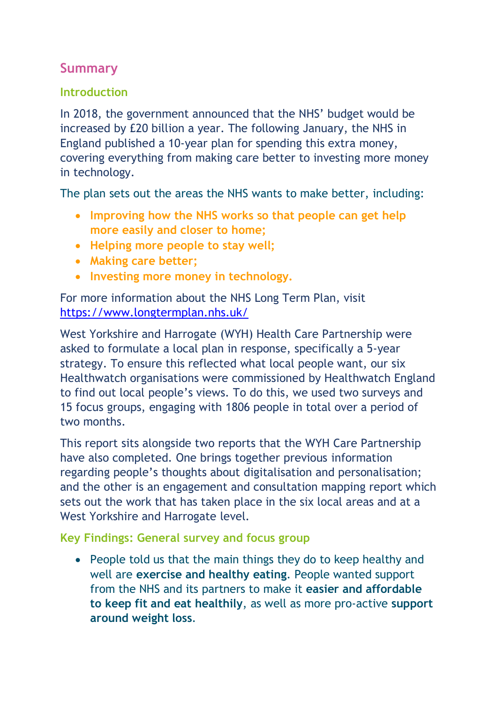# **Summary**

## **Introduction**

In 2018, the government announced that the NHS' budget would be increased by £20 billion a year. The following January, the NHS in England published a 10-year plan for spending this extra money, covering everything from making care better to investing more money in technology.

The plan sets out the areas the NHS wants to make better, including:

- **Improving how the NHS works so that people can get help more easily and closer to home;**
- **Helping more people to stay well;**
- **Making care better;**
- **Investing more money in technology.**

For more information about the NHS Long Term Plan, visit <https://www.longtermplan.nhs.uk/>

West Yorkshire and Harrogate (WYH) Health Care Partnership were asked to formulate a local plan in response, specifically a 5-year strategy. To ensure this reflected what local people want, our six Healthwatch organisations were commissioned by Healthwatch England to find out local people's views. To do this, we used two surveys and 15 focus groups, engaging with 1806 people in total over a period of two months.

This report sits alongside two reports that the WYH Care Partnership have also completed. One brings together previous information regarding people's thoughts about digitalisation and personalisation; and the other is an engagement and consultation mapping report which sets out the work that has taken place in the six local areas and at a West Yorkshire and Harrogate level.

**Key Findings: General survey and focus group**

• People told us that the main things they do to keep healthy and well are **exercise and healthy eating**. People wanted support from the NHS and its partners to make it **easier and affordable to keep fit and eat healthily**, as well as more pro-active **support around weight loss**.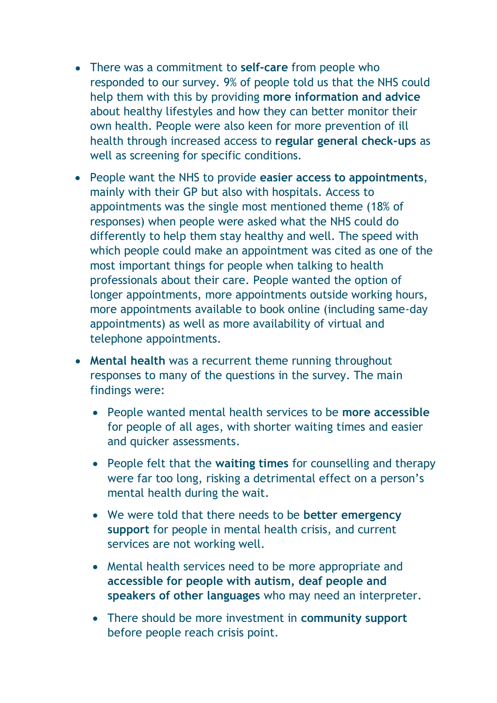- There was a commitment to **self-care** from people who responded to our survey. 9% of people told us that the NHS could help them with this by providing **more information and advice** about healthy lifestyles and how they can better monitor their own health. People were also keen for more prevention of ill health through increased access to **regular general check-ups** as well as screening for specific conditions.
- People want the NHS to provide **easier access to appointments**, mainly with their GP but also with hospitals. Access to appointments was the single most mentioned theme (18% of responses) when people were asked what the NHS could do differently to help them stay healthy and well. The speed with which people could make an appointment was cited as one of the most important things for people when talking to health professionals about their care. People wanted the option of longer appointments, more appointments outside working hours, more appointments available to book online (including same-day appointments) as well as more availability of virtual and telephone appointments.
- **Mental health** was a recurrent theme running throughout responses to many of the questions in the survey. The main findings were:
	- People wanted mental health services to be **more accessible** for people of all ages, with shorter waiting times and easier and quicker assessments.
	- People felt that the **waiting times** for counselling and therapy were far too long, risking a detrimental effect on a person's mental health during the wait.
	- We were told that there needs to be **better emergency support** for people in mental health crisis, and current services are not working well.
	- Mental health services need to be more appropriate and **accessible for people with autism, deaf people and speakers of other languages** who may need an interpreter.
	- There should be more investment in **community support** before people reach crisis point.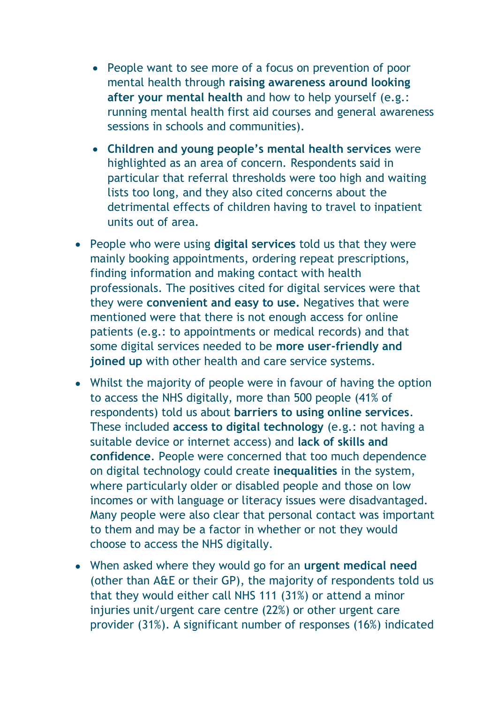- People want to see more of a focus on prevention of poor mental health through **raising awareness around looking after your mental health** and how to help yourself (e.g.: running mental health first aid courses and general awareness sessions in schools and communities).
- **Children and young people's mental health services** were highlighted as an area of concern. Respondents said in particular that referral thresholds were too high and waiting lists too long, and they also cited concerns about the detrimental effects of children having to travel to inpatient units out of area.
- People who were using **digital services** told us that they were mainly booking appointments, ordering repeat prescriptions, finding information and making contact with health professionals. The positives cited for digital services were that they were **convenient and easy to use.** Negatives that were mentioned were that there is not enough access for online patients (e.g.: to appointments or medical records) and that some digital services needed to be **more user-friendly and joined up** with other health and care service systems.
- Whilst the majority of people were in favour of having the option to access the NHS digitally, more than 500 people (41% of respondents) told us about **barriers to using online services**. These included **access to digital technology** (e.g.: not having a suitable device or internet access) and **lack of skills and confidence**. People were concerned that too much dependence on digital technology could create **inequalities** in the system, where particularly older or disabled people and those on low incomes or with language or literacy issues were disadvantaged. Many people were also clear that personal contact was important to them and may be a factor in whether or not they would choose to access the NHS digitally.
- When asked where they would go for an **urgent medical need** (other than A&E or their GP), the majority of respondents told us that they would either call NHS 111 (31%) or attend a minor injuries unit/urgent care centre (22%) or other urgent care provider (31%). A significant number of responses (16%) indicated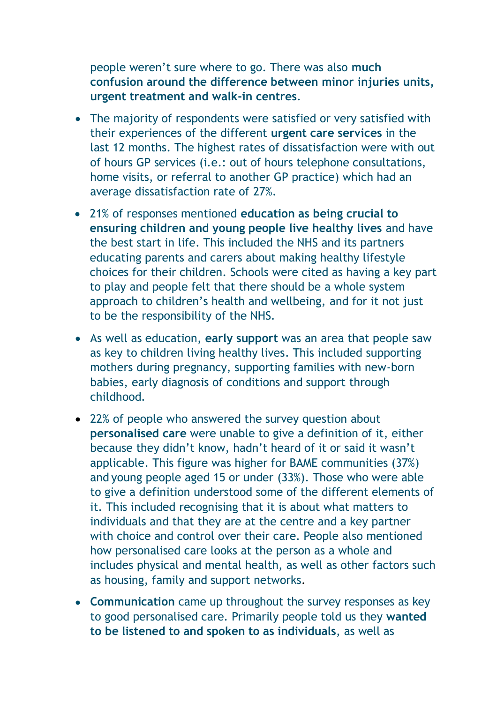people weren't sure where to go. There was also **much confusion around the difference between minor injuries units, urgent treatment and walk-in centres**.

- The majority of respondents were satisfied or very satisfied with their experiences of the different **urgent care services** in the last 12 months. The highest rates of dissatisfaction were with out of hours GP services (i.e.: out of hours telephone consultations, home visits, or referral to another GP practice) which had an average dissatisfaction rate of 27%.
- 21% of responses mentioned **education as being crucial to ensuring children and young people live healthy lives** and have the best start in life. This included the NHS and its partners educating parents and carers about making healthy lifestyle choices for their children. Schools were cited as having a key part to play and people felt that there should be a whole system approach to children's health and wellbeing, and for it not just to be the responsibility of the NHS.
- As well as education, **early support** was an area that people saw as key to children living healthy lives. This included supporting mothers during pregnancy, supporting families with new-born babies, early diagnosis of conditions and support through childhood.
- 22% of people who answered the survey question about **personalised care** were unable to give a definition of it, either because they didn't know, hadn't heard of it or said it wasn't applicable. This figure was higher for BAME communities (37%) and young people aged 15 or under (33%). Those who were able to give a definition understood some of the different elements of it. This included recognising that it is about what matters to individuals and that they are at the centre and a key partner with choice and control over their care. People also mentioned how personalised care looks at the person as a whole and includes physical and mental health, as well as other factors such as housing, family and support networks.
- **Communication** came up throughout the survey responses as key to good personalised care. Primarily people told us they **wanted to be listened to and spoken to as individuals**, as well as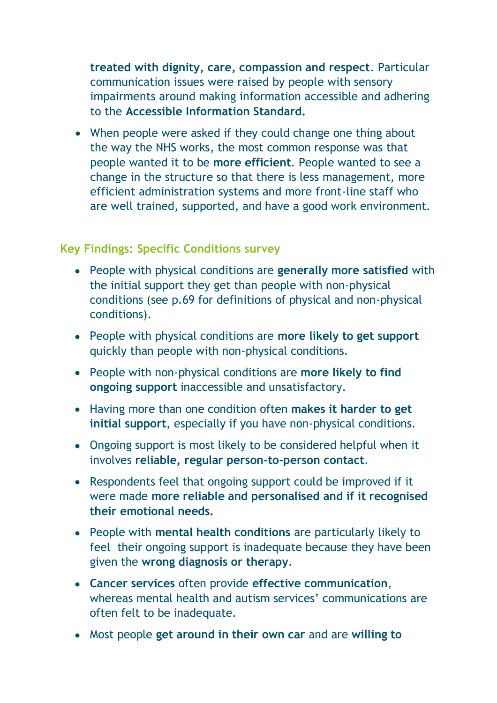**treated with dignity, care, compassion and respect**. Particular communication issues were raised by people with sensory impairments around making information accessible and adhering to the **Accessible Information Standard.** 

• When people were asked if they could change one thing about the way the NHS works, the most common response was that people wanted it to be **more efficient**. People wanted to see a change in the structure so that there is less management, more efficient administration systems and more front-line staff who are well trained, supported, and have a good work environment.

### **Key Findings: Specific Conditions survey**

- People with physical conditions are **generally more satisfied** with the initial support they get than people with non-physical conditions (see p.69 for definitions of physical and non-physical conditions).
- People with physical conditions are **more likely to get support** quickly than people with non-physical conditions.
- People with non-physical conditions are **more likely to find ongoing support** inaccessible and unsatisfactory.
- Having more than one condition often **makes it harder to get initial support**, especially if you have non-physical conditions.
- Ongoing support is most likely to be considered helpful when it involves **reliable, regular person-to-person contact**.
- Respondents feel that ongoing support could be improved if it were made **more reliable and personalised and if it recognised their emotional needs.**
- People with **mental health conditions** are particularly likely to feel their ongoing support is inadequate because they have been given the **wrong diagnosis or therapy**.
- **Cancer services** often provide **effective communication**, whereas mental health and autism services' communications are often felt to be inadequate.
- Most people **get around in their own car** and are **willing to**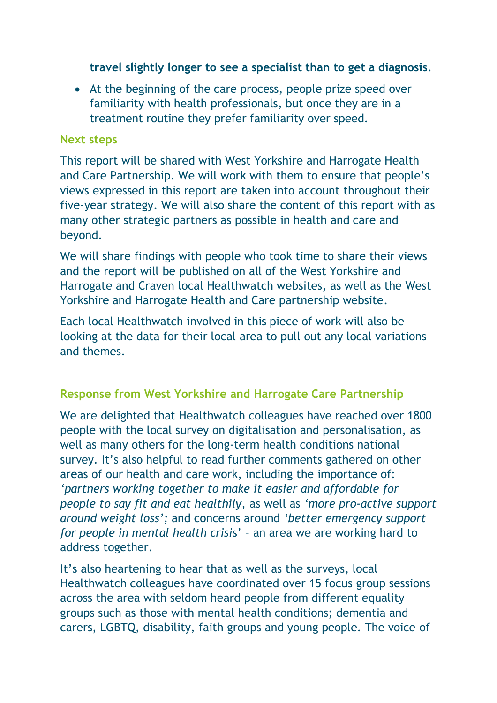**travel slightly longer to see a specialist than to get a diagnosis**.

• At the beginning of the care process, people prize speed over familiarity with health professionals, but once they are in a treatment routine they prefer familiarity over speed.

#### **Next steps**

This report will be shared with West Yorkshire and Harrogate Health and Care Partnership. We will work with them to ensure that people's views expressed in this report are taken into account throughout their five-year strategy. We will also share the content of this report with as many other strategic partners as possible in health and care and beyond.

We will share findings with people who took time to share their views and the report will be published on all of the West Yorkshire and Harrogate and Craven local Healthwatch websites, as well as the West Yorkshire and Harrogate Health and Care partnership website.

Each local Healthwatch involved in this piece of work will also be looking at the data for their local area to pull out any local variations and themes.

### **Response from West Yorkshire and Harrogate Care Partnership**

We are delighted that Healthwatch colleagues have reached over 1800 people with the local survey on digitalisation and personalisation, as well as many others for the long-term health conditions national survey. It's also helpful to read further comments gathered on other areas of our health and care work, including the importance of: *'partners working together to make it easier and affordable for people to say fit and eat healthily,* as well as *'more pro-active support around weight loss';* and concerns around *'better emergency support for people in mental health crisi*s' – an area we are working hard to address together.

It's also heartening to hear that as well as the surveys, local Healthwatch colleagues have coordinated over 15 focus group sessions across the area with seldom heard people from different equality groups such as those with mental health conditions; dementia and carers, LGBTQ, disability, faith groups and young people. The voice of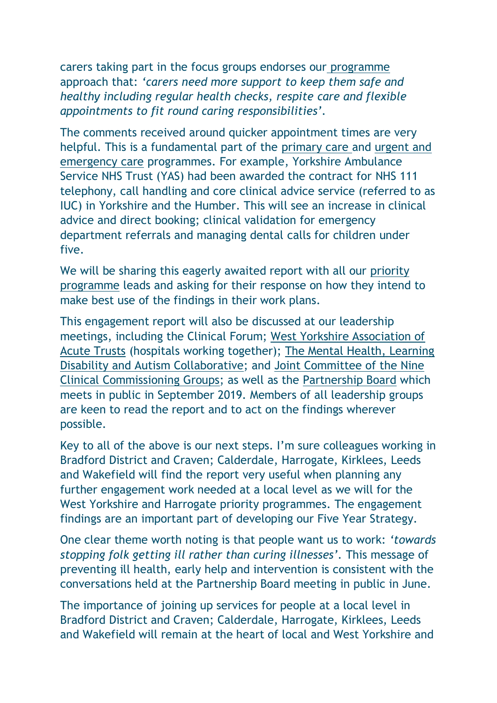carers taking part in the focus groups endorses our [programme](https://www.wyhpartnership.co.uk/our-priorities/unpaid-carers) approach that: *'carers need more support to keep them safe and healthy including regular health checks, respite care and flexible appointments to fit round caring responsibilities'.*

The comments received around quicker appointment times are very helpful. This is a fundamental part of the [primary care a](https://www.wyhpartnership.co.uk/our-priorities/primary-and-community-care-services)nd [urgent and](https://www.wyhpartnership.co.uk/our-priorities/urgent-and-emergency-care)  [emergency care](https://www.wyhpartnership.co.uk/our-priorities/urgent-and-emergency-care) programmes. For example, Yorkshire Ambulance Service NHS Trust (YAS) had been awarded the contract for NHS 111 telephony, call handling and core clinical advice service (referred to as IUC) in Yorkshire and the Humber. This will see an increase in clinical advice and direct booking; clinical validation for emergency department referrals and managing dental calls for children under five.

We will be sharing this eagerly awaited report with all our priority [programme](https://www.wyhpartnership.co.uk/our-priorities) leads and asking for their response on how they intend to make best use of the findings in their work plans.

This engagement report will also be discussed at our leadership meetings, including the Clinical Forum; [West Yorkshire Association of](https://www.wyhpartnership.co.uk/our-priorities/hospitals-working-together)  [Acute Trusts](https://www.wyhpartnership.co.uk/our-priorities/hospitals-working-together) (hospitals working together); [The Mental Health, Learning](https://www.wyhpartnership.co.uk/our-priorities/mental-health)  [Disability and Autism Collaborative;](https://www.wyhpartnership.co.uk/our-priorities/mental-health) and [Joint Committee of the Nine](https://www.wyhpartnership.co.uk/meetings/west-yorkshire-harrogate-joint-committee-ccgs)  [Clinical Commissioning Groups;](https://www.wyhpartnership.co.uk/meetings/west-yorkshire-harrogate-joint-committee-ccgs) as well as the [Partnership Board](https://www.wyhpartnership.co.uk/meetings/partnershipboard) which meets in public in September 2019. Members of all leadership groups are keen to read the report and to act on the findings wherever possible.

Key to all of the above is our next steps. I'm sure colleagues working in Bradford District and Craven; Calderdale, Harrogate, Kirklees, Leeds and Wakefield will find the report very useful when planning any further engagement work needed at a local level as we will for the West Yorkshire and Harrogate priority programmes. The engagement findings are an important part of developing our Five Year Strategy.

One clear theme worth noting is that people want us to work: *'towards stopping folk getting ill rather than curing illnesses'.* This message of preventing ill health, early help and intervention is consistent with the conversations held at the Partnership Board meeting in public in June.

The importance of joining up services for people at a local level in Bradford District and Craven; Calderdale, Harrogate, Kirklees, Leeds and Wakefield will remain at the heart of local and West Yorkshire and